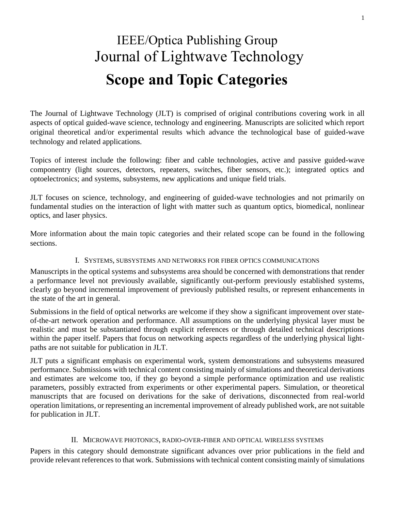# **Scope and Topic Categories** IEEE/Optica Publishing Group Journal of Lightwave Technology

The Journal of Lightwave Technology (JLT) is comprised of original contributions covering work in all aspects of optical guided-wave science, technology and engineering. Manuscripts are solicited which report original theoretical and/or experimental results which advance the technological base of guided-wave technology and related applications.

Topics of interest include the following: fiber and cable technologies, active and passive guided-wave componentry (light sources, detectors, repeaters, switches, fiber sensors, etc.); integrated optics and optoelectronics; and systems, subsystems, new applications and unique field trials.

JLT focuses on science, technology, and engineering of guided-wave technologies and not primarily on fundamental studies on the interaction of light with matter such as quantum optics, biomedical, nonlinear optics, and laser physics.

More information about the main topic categories and their related scope can be found in the following sections.

## I. SYSTEMS, SUBSYSTEMS AND NETWORKS FOR FIBER OPTICS COMMUNICATIONS

Manuscripts in the optical systems and subsystems area should be concerned with demonstrations that render a performance level not previously available, significantly out-perform previously established systems, clearly go beyond incremental improvement of previously published results, or represent enhancements in the state of the art in general.

Submissions in the field of optical networks are welcome if they show a significant improvement over stateof-the-art network operation and performance. All assumptions on the underlying physical layer must be realistic and must be substantiated through explicit references or through detailed technical descriptions within the paper itself. Papers that focus on networking aspects regardless of the underlying physical lightpaths are not suitable for publication in JLT.

JLT puts a significant emphasis on experimental work, system demonstrations and subsystems measured performance. Submissions with technical content consisting mainly of simulations and theoretical derivations and estimates are welcome too, if they go beyond a simple performance optimization and use realistic parameters, possibly extracted from experiments or other experimental papers. Simulation, or theoretical manuscripts that are focused on derivations for the sake of derivations, disconnected from real-world operation limitations, or representing an incremental improvement of already published work, are not suitable for publication in JLT.

## II. MICROWAVE PHOTONICS, RADIO-OVER-FIBER AND OPTICAL WIRELESS SYSTEMS

Papers in this category should demonstrate significant advances over prior publications in the field and provide relevant references to that work. Submissions with technical content consisting mainly of simulations